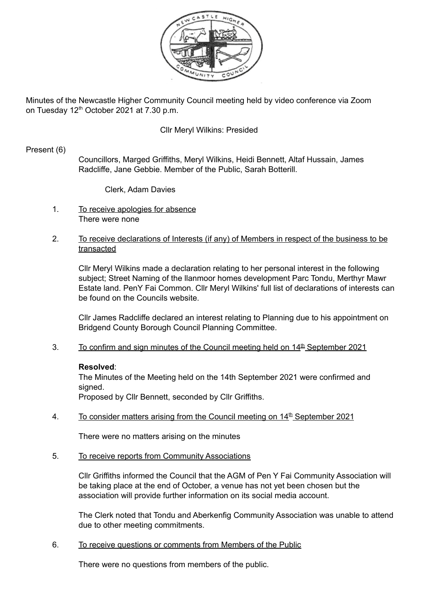

Minutes of the Newcastle Higher Community Council meeting held by video conference via Zoom on Tuesday 12<sup>th</sup> October 2021 at 7.30 p.m.

# Cllr Meryl Wilkins: Presided

# Present (6)

Councillors, Marged Griffiths, Meryl Wilkins, Heidi Bennett, Altaf Hussain, James Radcliffe, Jane Gebbie. Member of the Public, Sarah Botterill.

Clerk, Adam Davies

- 1. To receive apologies for absence There were none
- 2. To receive declarations of Interests (if any) of Members in respect of the business to be transacted

Cllr Meryl Wilkins made a declaration relating to her personal interest in the following subject; Street Naming of the llanmoor homes development Parc Tondu, Merthyr Mawr Estate land. PenY Fai Common. Cllr Meryl Wilkins' full list of declarations of interests can be found on the Councils website.

Cllr James Radcliffe declared an interest relating to Planning due to his appointment on Bridgend County Borough Council Planning Committee.

3. To confirm and sign minutes of the Council meeting held on 14<sup>th</sup> September 2021

# **Resolved**:

The Minutes of the Meeting held on the 14th September 2021 were confirmed and signed.

Proposed by Cllr Bennett, seconded by Cllr Griffiths.

4. To consider matters arising from the Council meeting on  $14<sup>th</sup>$  September 2021

There were no matters arising on the minutes

5. To receive reports from Community Associations

Cllr Griffiths informed the Council that the AGM of Pen Y Fai Community Association will be taking place at the end of October, a venue has not yet been chosen but the association will provide further information on its social media account.

The Clerk noted that Tondu and Aberkenfig Community Association was unable to attend due to other meeting commitments.

6. To receive questions or comments from Members of the Public

There were no questions from members of the public.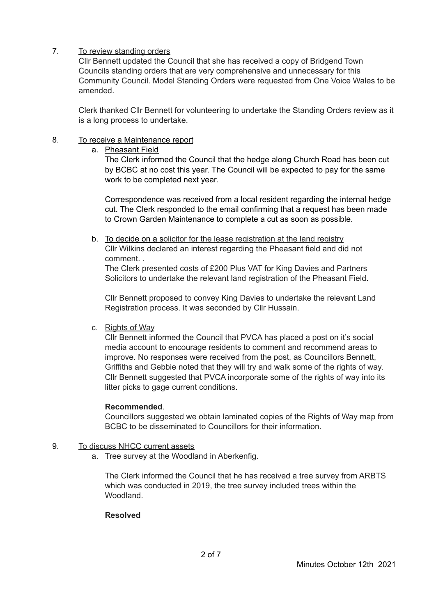# 7. To review standing orders

Cllr Bennett updated the Council that she has received a copy of Bridgend Town Councils standing orders that are very comprehensive and unnecessary for this Community Council. Model Standing Orders were requested from One Voice Wales to be amended.

Clerk thanked Cllr Bennett for volunteering to undertake the Standing Orders review as it is a long process to undertake.

# 8. To receive a Maintenance report

a. Pheasant Field

The Clerk informed the Council that the hedge along Church Road has been cut by BCBC at no cost this year. The Council will be expected to pay for the same work to be completed next year.

Correspondence was received from a local resident regarding the internal hedge cut. The Clerk responded to the email confirming that a request has been made to Crown Garden Maintenance to complete a cut as soon as possible.

b. To decide on a solicitor for the lease registration at the land registry

Cllr Wilkins declared an interest regarding the Pheasant field and did not comment. .

The Clerk presented costs of £200 Plus VAT for King Davies and Partners Solicitors to undertake the relevant land registration of the Pheasant Field.

Cllr Bennett proposed to convey King Davies to undertake the relevant Land Registration process. It was seconded by Cllr Hussain.

# c. Rights of Way

Cllr Bennett informed the Council that PVCA has placed a post on it's social media account to encourage residents to comment and recommend areas to improve. No responses were received from the post, as Councillors Bennett, Griffiths and Gebbie noted that they will try and walk some of the rights of way. Cllr Bennett suggested that PVCA incorporate some of the rights of way into its litter picks to gage current conditions.

# **Recommended**.

Councillors suggested we obtain laminated copies of the Rights of Way map from BCBC to be disseminated to Councillors for their information.

# 9. To discuss NHCC current assets

a. Tree survey at the Woodland in Aberkenfig.

The Clerk informed the Council that he has received a tree survey from ARBTS which was conducted in 2019, the tree survey included trees within the Woodland.

# **Resolved**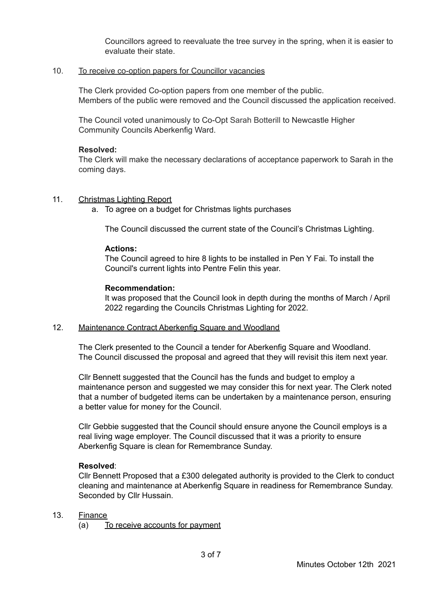Councillors agreed to reevaluate the tree survey in the spring, when it is easier to evaluate their state.

# 10. To receive co-option papers for Councillor vacancies

The Clerk provided Co-option papers from one member of the public. Members of the public were removed and the Council discussed the application received.

The Council voted unanimously to Co-Opt Sarah Botterill to Newcastle Higher Community Councils Aberkenfig Ward.

## **Resolved:**

The Clerk will make the necessary declarations of acceptance paperwork to Sarah in the coming days.

## 11. Christmas Lighting Report

a. To agree on a budget for Christmas lights purchases

The Council discussed the current state of the Council's Christmas Lighting.

### **Actions:**

The Council agreed to hire 8 lights to be installed in Pen Y Fai. To install the Council's current lights into Pentre Felin this year.

## **Recommendation:**

It was proposed that the Council look in depth during the months of March / April 2022 regarding the Councils Christmas Lighting for 2022.

### 12. Maintenance Contract Aberkenfig Square and Woodland

The Clerk presented to the Council a tender for Aberkenfig Square and Woodland. The Council discussed the proposal and agreed that they will revisit this item next year.

Cllr Bennett suggested that the Council has the funds and budget to employ a maintenance person and suggested we may consider this for next year. The Clerk noted that a number of budgeted items can be undertaken by a maintenance person, ensuring a better value for money for the Council.

Cllr Gebbie suggested that the Council should ensure anyone the Council employs is a real living wage employer. The Council discussed that it was a priority to ensure Aberkenfig Square is clean for Remembrance Sunday.

### **Resolved**:

Cllr Bennett Proposed that a £300 delegated authority is provided to the Clerk to conduct cleaning and maintenance at Aberkenfig Square in readiness for Remembrance Sunday. Seconded by Cllr Hussain.

### 13. Finance

(a) To receive accounts for payment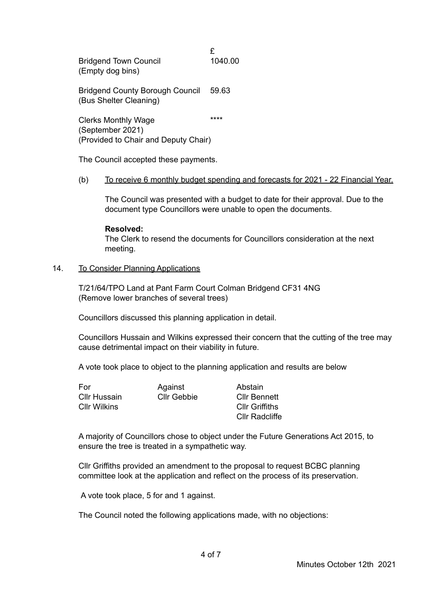£<br>1040.00 Bridgend Town Council (Empty dog bins)

Bridgend County Borough Council 59.63 (Bus Shelter Cleaning)

Clerks Monthly Wage \*\*\*\* (September 2021) (Provided to Chair and Deputy Chair)

The Council accepted these payments.

## (b) To receive 6 monthly budget spending and forecasts for 2021 - 22 Financial Year.

The Council was presented with a budget to date for their approval. Due to the document type Councillors were unable to open the documents.

## **Resolved:**

The Clerk to resend the documents for Councillors consideration at the next meeting.

# 14. To Consider Planning Applications

T/21/64/TPO Land at Pant Farm Court Colman Bridgend CF31 4NG (Remove lower branches of several trees)

Councillors discussed this planning application in detail.

Councillors Hussain and Wilkins expressed their concern that the cutting of the tree may cause detrimental impact on their viability in future.

A vote took place to object to the planning application and results are below

| For          | Against     | Abstain               |
|--------------|-------------|-----------------------|
| Cllr Hussain | Cllr Gebbie | <b>Cllr Bennett</b>   |
| Cllr Wilkins |             | <b>CIIr Griffiths</b> |
|              |             | <b>Cllr Radcliffe</b> |

A majority of Councillors chose to object under the Future Generations Act 2015, to ensure the tree is treated in a sympathetic way.

Cllr Griffiths provided an amendment to the proposal to request BCBC planning committee look at the application and reflect on the process of its preservation.

A vote took place, 5 for and 1 against.

The Council noted the following applications made, with no objections: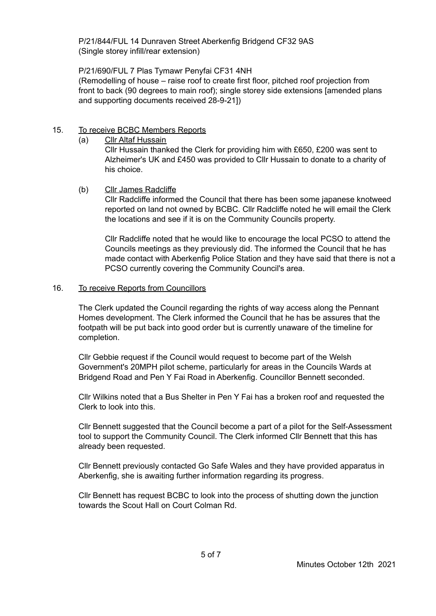P/21/844/FUL 14 Dunraven Street Aberkenfig Bridgend CF32 9AS (Single storey infill/rear extension)

P/21/690/FUL 7 Plas Tymawr Penyfai CF31 4NH

(Remodelling of house – raise roof to create first floor, pitched roof projection from front to back (90 degrees to main roof); single storey side extensions [amended plans and supporting documents received 28-9-21])

# 15. To receive BCBC Members Reports

(a) Cllr Altaf Hussain

Cllr Hussain thanked the Clerk for providing him with £650, £200 was sent to Alzheimer's UK and £450 was provided to Cllr Hussain to donate to a charity of his choice.

(b) Cllr James Radcliffe

Cllr Radcliffe informed the Council that there has been some japanese knotweed reported on land not owned by BCBC. Cllr Radcliffe noted he will email the Clerk the locations and see if it is on the Community Councils property.

Cllr Radcliffe noted that he would like to encourage the local PCSO to attend the Councils meetings as they previously did. The informed the Council that he has made contact with Aberkenfig Police Station and they have said that there is not a PCSO currently covering the Community Council's area.

# 16. To receive Reports from Councillors

The Clerk updated the Council regarding the rights of way access along the Pennant Homes development. The Clerk informed the Council that he has be assures that the footpath will be put back into good order but is currently unaware of the timeline for completion.

Cllr Gebbie request if the Council would request to become part of the Welsh Government's 20MPH pilot scheme, particularly for areas in the Councils Wards at Bridgend Road and Pen Y Fai Road in Aberkenfig. Councillor Bennett seconded.

Cllr Wilkins noted that a Bus Shelter in Pen Y Fai has a broken roof and requested the Clerk to look into this.

Cllr Bennett suggested that the Council become a part of a pilot for the Self-Assessment tool to support the Community Council. The Clerk informed Cllr Bennett that this has already been requested.

Cllr Bennett previously contacted Go Safe Wales and they have provided apparatus in Aberkenfig, she is awaiting further information regarding its progress.

Cllr Bennett has request BCBC to look into the process of shutting down the junction towards the Scout Hall on Court Colman Rd.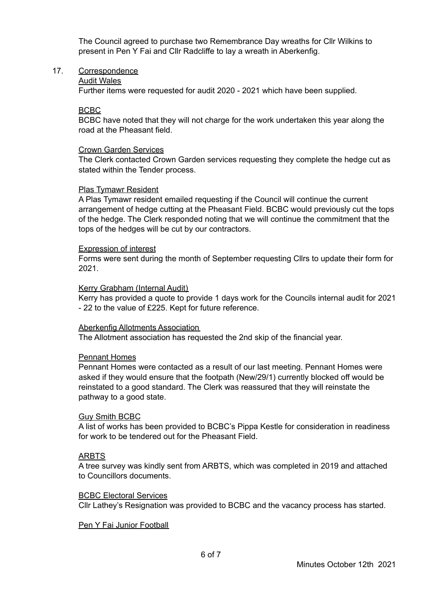The Council agreed to purchase two Remembrance Day wreaths for Cllr Wilkins to present in Pen Y Fai and Cllr Radcliffe to lay a wreath in Aberkenfig.

#### 17. Correspondence

#### Audit Wales

Further items were requested for audit 2020 - 2021 which have been supplied.

#### BCBC

BCBC have noted that they will not charge for the work undertaken this year along the road at the Pheasant field.

#### Crown Garden Services

The Clerk contacted Crown Garden services requesting they complete the hedge cut as stated within the Tender process.

#### Plas Tymawr Resident

A Plas Tymawr resident emailed requesting if the Council will continue the current arrangement of hedge cutting at the Pheasant Field. BCBC would previously cut the tops of the hedge. The Clerk responded noting that we will continue the commitment that the tops of the hedges will be cut by our contractors.

#### Expression of interest

Forms were sent during the month of September requesting Cllrs to update their form for 2021.

#### Kerry Grabham (Internal Audit)

Kerry has provided a quote to provide 1 days work for the Councils internal audit for 2021 - 22 to the value of £225. Kept for future reference.

#### Aberkenfig Allotments Association

The Allotment association has requested the 2nd skip of the financial year.

#### Pennant Homes

Pennant Homes were contacted as a result of our last meeting. Pennant Homes were asked if they would ensure that the footpath (New/29/1) currently blocked off would be reinstated to a good standard. The Clerk was reassured that they will reinstate the pathway to a good state.

### Guy Smith BCBC

A list of works has been provided to BCBC's Pippa Kestle for consideration in readiness for work to be tendered out for the Pheasant Field.

### ARBTS

A tree survey was kindly sent from ARBTS, which was completed in 2019 and attached to Councillors documents.

#### BCBC Electoral Services

Cllr Lathey's Resignation was provided to BCBC and the vacancy process has started.

Pen Y Fai Junior Football